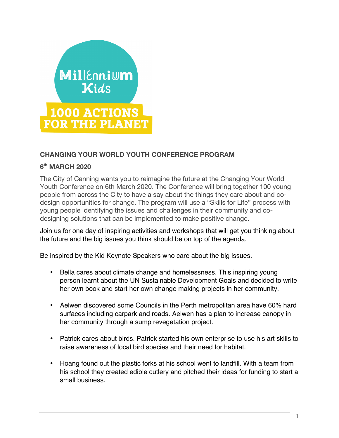

## **CHANGING YOUR WORLD YOUTH CONFERENCE PROGRAM**

#### **6th MARCH 2020**

The City of Canning wants you to reimagine the future at the Changing Your World Youth Conference on 6th March 2020. The Conference will bring together 100 young people from across the City to have a say about the things they care about and codesign opportunities for change. The program will use a "Skills for Life" process with young people identifying the issues and challenges in their community and codesigning solutions that can be implemented to make positive change.

Join us for one day of inspiring activities and workshops that will get you thinking about the future and the big issues you think should be on top of the agenda.

Be inspired by the Kid Keynote Speakers who care about the big issues.

- Bella cares about climate change and homelessness. This inspiring young person learnt about the UN Sustainable Development Goals and decided to write her own book and start her own change making projects in her community.
- Aelwen discovered some Councils in the Perth metropolitan area have 60% hard surfaces including carpark and roads. Aelwen has a plan to increase canopy in her community through a sump revegetation project.
- Patrick cares about birds. Patrick started his own enterprise to use his art skills to raise awareness of local bird species and their need for habitat.
- Hoang found out the plastic forks at his school went to landfill. With a team from his school they created edible cutlery and pitched their ideas for funding to start a small business.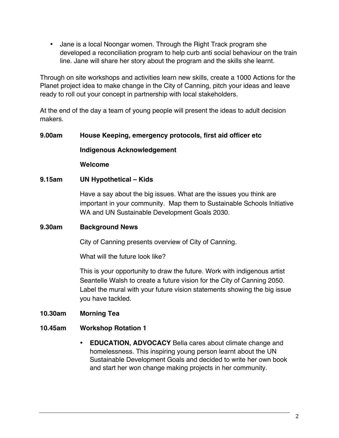• Jane is a local Noongar women. Through the Right Track program she developed a reconciliation program to help curb anti social behaviour on the train line. Jane will share her story about the program and the skills she learnt.

Through on site workshops and activities learn new skills, create a 1000 Actions for the Planet project idea to make change in the City of Canning, pitch your ideas and leave ready to roll out your concept in partnership with local stakeholders.

At the end of the day a team of young people will present the ideas to adult decision makers.

# **9.00am House Keeping, emergency protocols, first aid officer etc Indigenous Acknowledgement**

**Welcome** 

## **9.15am UN Hypothetical – Kids**

Have a say about the big issues. What are the issues you think are important in your community. Map them to Sustainable Schools Initiative WA and UN Sustainable Development Goals 2030.

#### **9.30am Background News**

City of Canning presents overview of City of Canning.

What will the future look like?

This is your opportunity to draw the future. Work with indigenous artist Seantelle Walsh to create a future vision for the City of Canning 2050. Label the mural with your future vision statements showing the big issue you have tackled.

#### **10.30am Morning Tea**

#### **10.45am Workshop Rotation 1**

• **EDUCATION, ADVOCACY** Bella cares about climate change and homelessness. This inspiring young person learnt about the UN Sustainable Development Goals and decided to write her own book and start her won change making projects in her community.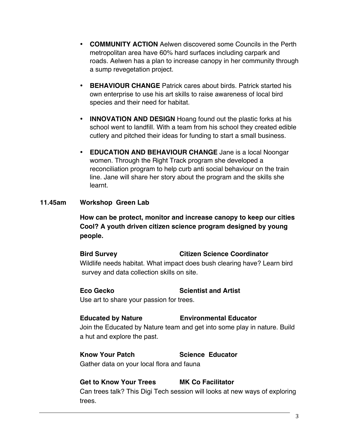- **COMMUNITY ACTION** Aelwen discovered some Councils in the Perth metropolitan area have 60% hard surfaces including carpark and roads. Aelwen has a plan to increase canopy in her community through a sump revegetation project.
- **BEHAVIOUR CHANGE** Patrick cares about birds. Patrick started his own enterprise to use his art skills to raise awareness of local bird species and their need for habitat.
- **INNOVATION AND DESIGN** Hoang found out the plastic forks at his school went to landfill. With a team from his school they created edible cutlery and pitched their ideas for funding to start a small business.
- **EDUCATION AND BEHAVIOUR CHANGE** Jane is a local Noongar women. Through the Right Track program she developed a reconciliation program to help curb anti social behaviour on the train line. Jane will share her story about the program and the skills she learnt.

#### **11.45am Workshop Green Lab**

**How can be protect, monitor and increase canopy to keep our cities Cool? A youth driven citizen science program designed by young people.** 

**Bird Survey Citizen Science Coordinator** Wildlife needs habitat. What impact does bush clearing have? Learn bird survey and data collection skills on site.

# **Eco Gecko Scientist and Artist**

Use art to share your passion for trees.

#### **Educated by Nature Environmental Educator**

Join the Educated by Nature team and get into some play in nature. Build a hut and explore the past.

**Know Your Patch Science Educator** Gather data on your local flora and fauna

#### **Get to Know Your Trees MK Co Facilitator**

Can trees talk? This Digi Tech session will looks at new ways of exploring trees.